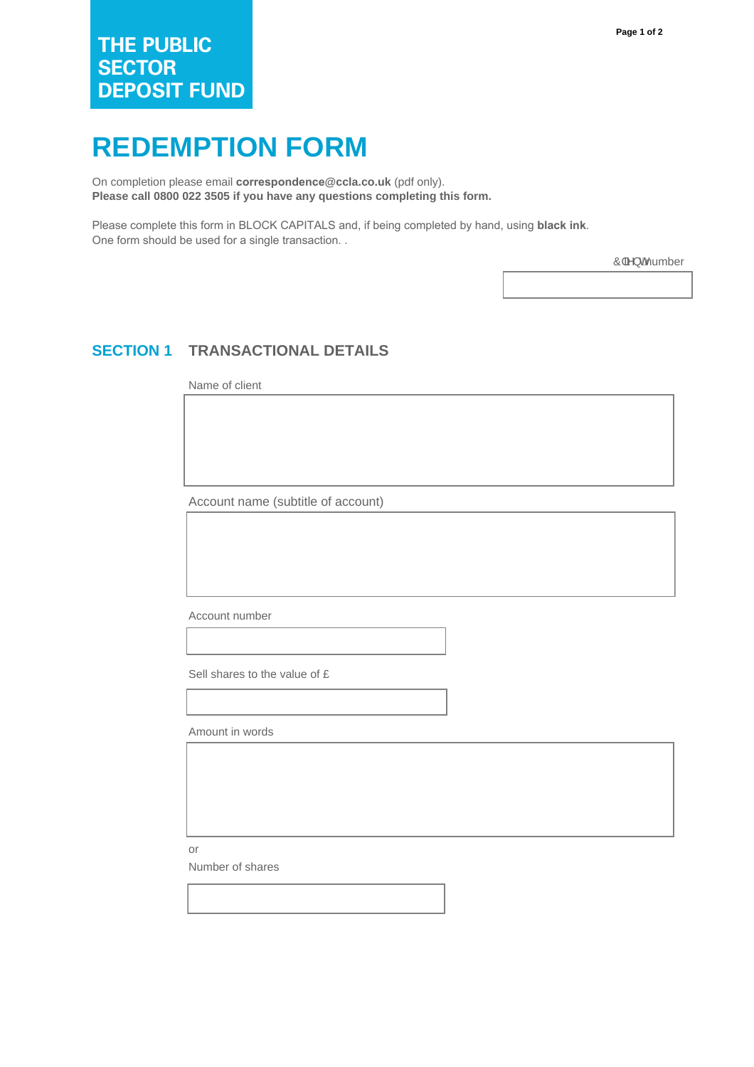## **REDEMPTION FORM**

On completion please email **correspondence@ccla.co.uk** (pdf only). **Please call 0800 022 3505 if you have any questions completing this form.**

Please complete this form in BLOCK CAPITALS and, if being completed by hand, using **black ink**. One form should be used for a single transaction. .

Ô|ã } ohumber

## **SECTION 1 TRANSACTIONAL DETAILS**

Name of client

Account name (subtitle of account)

Account number

Sell shares to the value of £

Amount in words

or

Number of shares